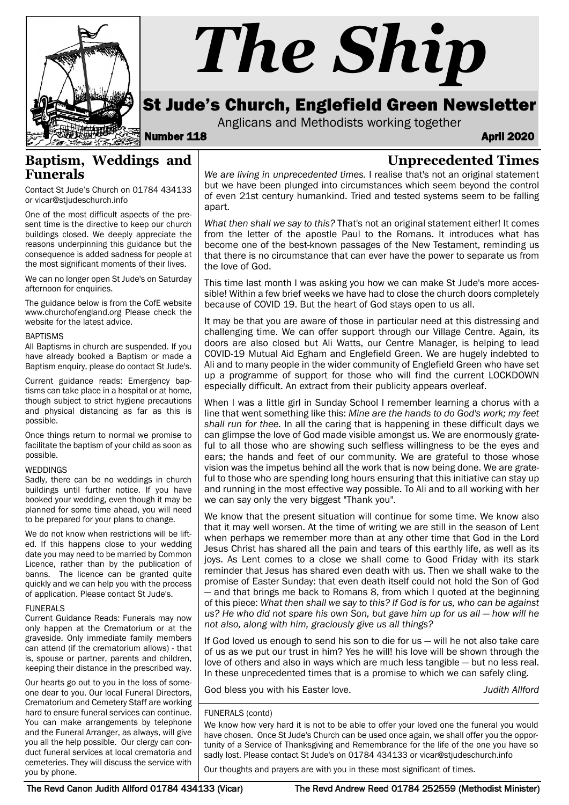

# *The Ship*

# St Jude's Church, Englefield Green Newsletter

Anglicans and Methodists working together

Number 118 April 2020 **April 2020** 

# **Unprecedented Times**

Contact St Jude's Church on 01784 434133 or vicar@stjudeschurch.info

**Baptism, Weddings and**

One of the most difficult aspects of the present time is the directive to keep our church buildings closed. We deeply appreciate the reasons underpinning this guidance but the consequence is added sadness for people at the most significant moments of their lives.

We can no longer open St Jude's on Saturday afternoon for enquiries.

The guidance below is from the CofE website www.churchofengland.org Please check the website for the latest advice.

#### BAPTISMS

**Funerals**

All Baptisms in church are suspended. If you have already booked a Baptism or made a Baptism enquiry, please do contact St Jude's.

Current guidance reads: Emergency baptisms can take place in a hospital or at home, though subject to strict hygiene precautions and physical distancing as far as this is possible.

Once things return to normal we promise to facilitate the baptism of your child as soon as possible.

#### WEDDINGS

Sadly, there can be no weddings in church buildings until further notice. If you have booked your wedding, even though it may be planned for some time ahead, you will need to be prepared for your plans to change.

We do not know when restrictions will be lifted. If this happens close to your wedding date you may need to be married by Common Licence, rather than by the publication of banns. The licence can be granted quite quickly and we can help you with the process of application. Please contact St Jude's.

#### FUNERALS

Current Guidance Reads: Funerals may now only happen at the Crematorium or at the graveside. Only immediate family members can attend (if the crematorium allows) - that is, spouse or partner, parents and children, keeping their distance in the prescribed way.

Our hearts go out to you in the loss of someone dear to you. Our local Funeral Directors, Crematorium and Cemetery Staff are working hard to ensure funeral services can continue. You can make arrangements by telephone and the Funeral Arranger, as always, will give you all the help possible. Our clergy can conduct funeral services at local crematoria and cemeteries. They will discuss the service with you by phone.

*We are living in unprecedented times.* I realise that's not an original statement but we have been plunged into circumstances which seem beyond the control of even 21st century humankind. Tried and tested systems seem to be falling apart.

*What then shall we say to this?* That's not an original statement either! It comes from the letter of the apostle Paul to the Romans. It introduces what has become one of the best-known passages of the New Testament, reminding us that there is no circumstance that can ever have the power to separate us from the love of God.

This time last month I was asking you how we can make St Jude's more accessible! Within a few brief weeks we have had to close the church doors completely because of COVID 19. But the heart of God stays open to us all.

It may be that you are aware of those in particular need at this distressing and challenging time. We can offer support through our Village Centre. Again, its doors are also closed but Ali Watts, our Centre Manager, is helping to lead COVID-19 Mutual Aid Egham and Englefield Green. We are hugely indebted to Ali and to many people in the wider community of Englefield Green who have set up a programme of support for those who will find the current LOCKDOWN especially difficult. An extract from their publicity appears overleaf.

When I was a little girl in Sunday School I remember learning a chorus with a line that went something like this: *Mine are the hands to do God's work; my feet shall run for thee.* In all the caring that is happening in these difficult days we can glimpse the love of God made visible amongst us. We are enormously grateful to all those who are showing such selfless willingness to be the eyes and ears; the hands and feet of our community. We are grateful to those whose vision was the impetus behind all the work that is now being done. We are grateful to those who are spending long hours ensuring that this initiative can stay up and running in the most effective way possible. To Ali and to all working with her we can say only the very biggest "Thank you".

We know that the present situation will continue for some time. We know also that it may well worsen. At the time of writing we are still in the season of Lent when perhaps we remember more than at any other time that God in the Lord Jesus Christ has shared all the pain and tears of this earthly life, as well as its joys. As Lent comes to a close we shall come to Good Friday with its stark reminder that Jesus has shared even death with us. Then we shall wake to the promise of Easter Sunday: that even death itself could not hold the Son of God — and that brings me back to Romans 8, from which I quoted at the beginning of this piece: *What then shall we say to this? If God is for us, who can be against us? He who did not spare his own Son, but gave him up for us all — how will he not also, along with him, graciously give us all things?*

If God loved us enough to send his son to die for us — will he not also take care of us as we put our trust in him? Yes he will! his love will be shown through the love of others and also in ways which are much less tangible — but no less real. In these unprecedented times that is a promise to which we can safely cling.

God bless you with his Easter love. *Judith Allford*

#### FUNERALS (contd)

We know how very hard it is not to be able to offer your loved one the funeral you would have chosen. Once St Jude's Church can be used once again, we shall offer you the opportunity of a Service of Thanksgiving and Remembrance for the life of the one you have so sadly lost. Please contact St Jude's on 01784 434133 or vicar@stjudeschurch.info

Our thoughts and prayers are with you in these most significant of times.